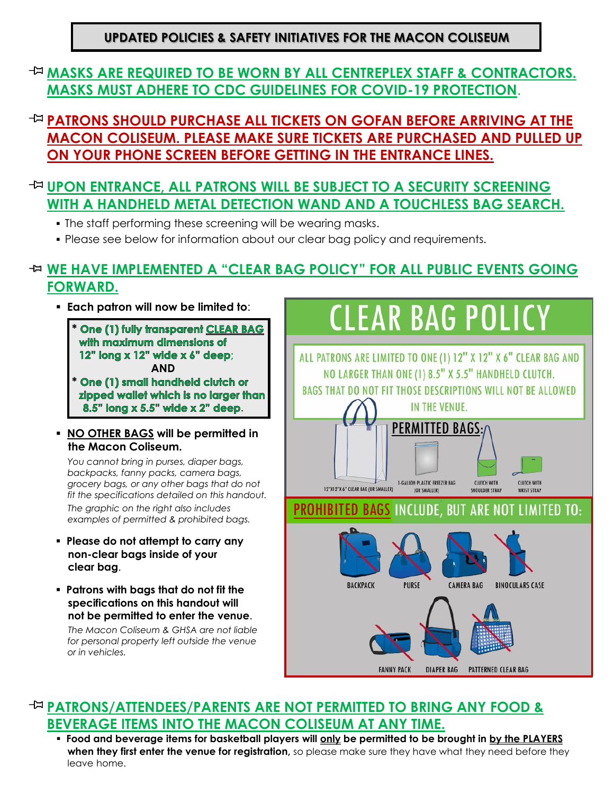### **UPDATED POLICIES & SAFETY INITIATIVES FOR THE MACON COLISEUM**

### **MASKS ARE REQUIRED TO BE WORN BY ALL CENTREPLEX STAFF & CONTRACTORS. MASKS MUST ADHERE TO CDC GUIDELINES FOR COVID-19 PROTECTION**.

**PATRONS SHOULD PURCHASE ALL TICKETS ON GOFAN BEFORE ARRIVING AT THE MACON COLISEUM. PLEASE MAKE SURE TICKETS ARE PURCHASED AND PULLED UP ON YOUR PHONE SCREEN BEFORE GETTING IN THE ENTRANCE LINES.**

### **UPON ENTRANCE, ALL PATRONS WILL BE SUBJECT TO A SECURITY SCREENING WITH A HANDHELD METAL DETECTION WAND AND A TOUCHLESS BAG SEARCH.**

- The staff performing these screening will be wearing masks.
- Please see below for information about our clear bag policy and requirements.

# **WE HAVE IMPLEMENTED A "CLEAR BAG POLICY" FOR ALL PUBLIC EVENTS GOING FORWARD.**

▪ **Each patron will now be limited to**:

 **\* One (1) fully transparent CLEAR BAG** with maximum dimensions of 12" long x 12" wide x 6" deep;  **AND** One (1) small handheld clutch or  **\***

zipped wallet which is no larger than 8.5" long x 5.5" wide x 2" deep.

#### ▪ **NO OTHER BAGS will be permitted in the Macon Coliseum.**

*You cannot bring in purses, diaper bags, backpacks, fanny packs, camera bags, grocery bags, or any other bags that do not fit the specifications detailed on this handout.* 

*The graphic on the right also includes examples of permitted & prohibited bags.*

- **Please do not attempt to carry any non-clear bags inside of your clear bag**.
- **Patrons with bags that do not fit the specifications on this handout will not be permitted to enter the venue**.

*The Macon Coliseum & GHSA are not liable for personal property left outside the venue or in vehicles.*



### **PATRONS/ATTENDEES/PARENTS ARE NOT PERMITTED TO BRING ANY FOOD & BEVERAGE ITEMS INTO THE MACON COLISEUM AT ANY TIME.**

▪ **Food and beverage items for basketball players will only be permitted to be brought in by the PLAYERS when they first enter the venue for registration**, so please make sure they have what they need before they leave home.